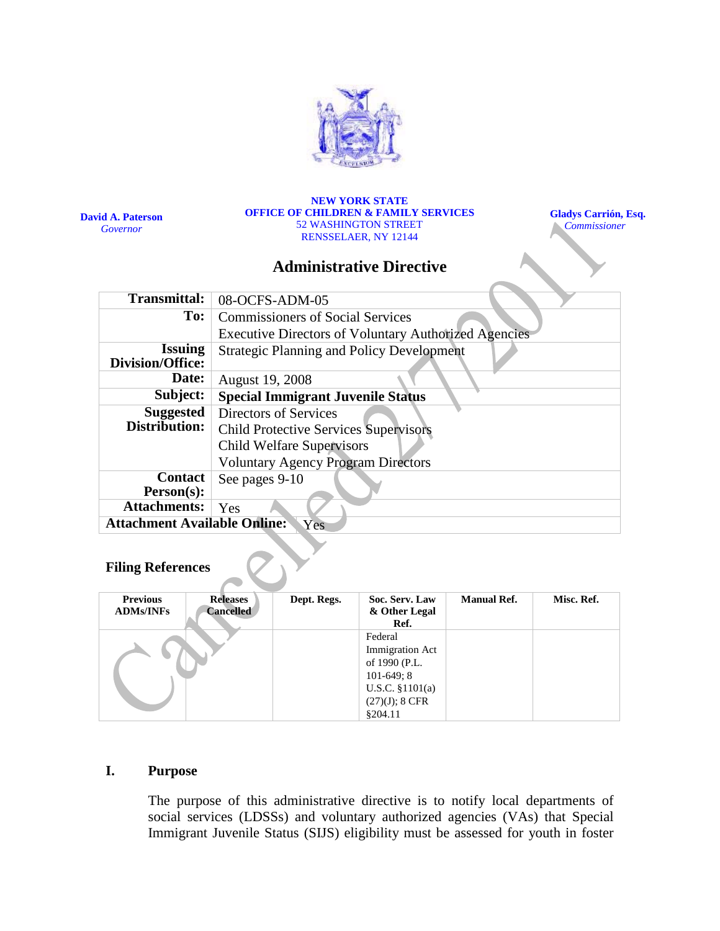

**David A. Paterson** *Governor*

#### **NEW YORK STATE OFFICE OF CHILDREN & FAMILY SERVICES** 52 WASHINGTON STREET RENSSELAER, NY 12144

**Gladys Carrión, Esq.**  *Commissioner*

## **Administrative Directive**

| <b>Transmittal:</b>                        | 08-OCFS-ADM-05                                              |  |  |  |  |
|--------------------------------------------|-------------------------------------------------------------|--|--|--|--|
| To:                                        | <b>Commissioners of Social Services</b>                     |  |  |  |  |
|                                            | <b>Executive Directors of Voluntary Authorized Agencies</b> |  |  |  |  |
| <b>Issuing</b><br>Division/Office:         | <b>Strategic Planning and Policy Development</b>            |  |  |  |  |
| Date:                                      | August 19, 2008                                             |  |  |  |  |
| Subject:                                   | <b>Special Immigrant Juvenile Status</b>                    |  |  |  |  |
| <b>Suggested</b>                           | Directors of Services                                       |  |  |  |  |
| Distribution:                              | <b>Child Protective Services Supervisors</b>                |  |  |  |  |
|                                            | <b>Child Welfare Supervisors</b>                            |  |  |  |  |
|                                            | <b>Voluntary Agency Program Directors</b>                   |  |  |  |  |
| <b>Contact</b>                             | See pages 9-10                                              |  |  |  |  |
| Person(s):                                 |                                                             |  |  |  |  |
| <b>Attachments:</b>                        | Yes                                                         |  |  |  |  |
| <b>Attachment Available Online:</b><br>Yes |                                                             |  |  |  |  |

### **Filing References**

| <b>Previous</b><br><b>ADMs/INFs</b> | <b>Releases</b><br><b>Cancelled</b> | Dept. Regs. | Soc. Serv. Law<br>& Other Legal<br>Ref.                                                                                 | <b>Manual Ref.</b> | Misc. Ref. |
|-------------------------------------|-------------------------------------|-------------|-------------------------------------------------------------------------------------------------------------------------|--------------------|------------|
|                                     |                                     |             | Federal<br>Immigration Act<br>of 1990 (P.L.<br>$101-649;8$<br>U.S.C. $$1101(a)$<br>$(27)(J); 8 \text{ CFR}$<br>\$204.11 |                    |            |

#### **I. Purpose**

The purpose of this administrative directive is to notify local departments of social services (LDSSs) and voluntary authorized agencies (VAs) that Special Immigrant Juvenile Status (SIJS) eligibility must be assessed for youth in foster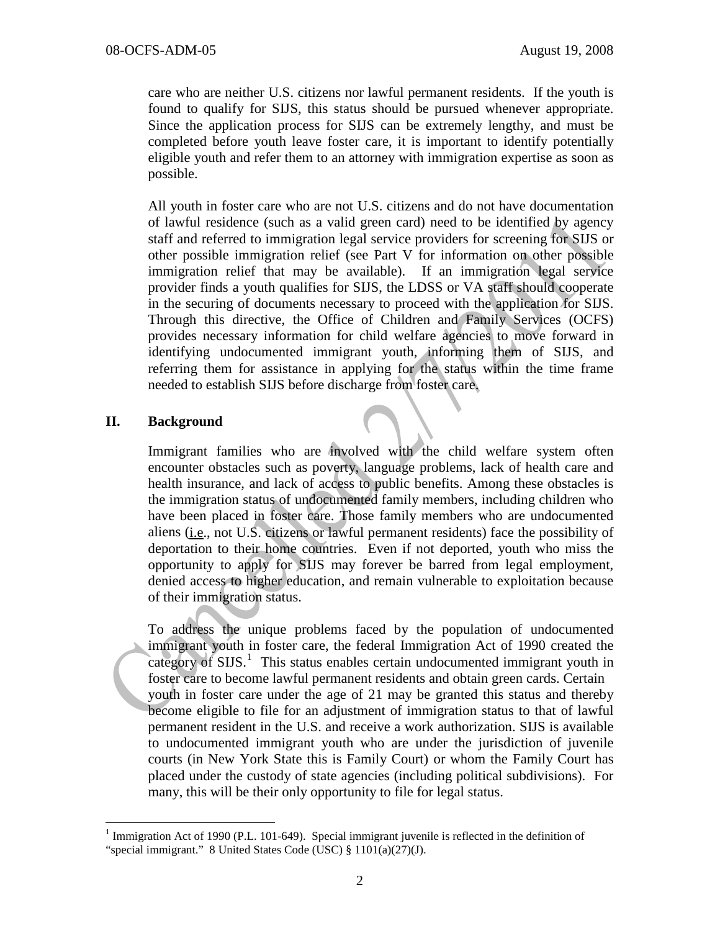care who are neither U.S. citizens nor lawful permanent residents. If the youth is found to qualify for SIJS, this status should be pursued whenever appropriate. Since the application process for SIJS can be extremely lengthy, and must be completed before youth leave foster care, it is important to identify potentially eligible youth and refer them to an attorney with immigration expertise as soon as possible.

All youth in foster care who are not U.S. citizens and do not have documentation of lawful residence (such as a valid green card) need to be identified by agency staff and referred to immigration legal service providers for screening for SIJS or other possible immigration relief (see Part V for information on other possible immigration relief that may be available). If an immigration legal service provider finds a youth qualifies for SIJS, the LDSS or VA staff should cooperate in the securing of documents necessary to proceed with the application for SIJS. Through this directive, the Office of Children and Family Services (OCFS) provides necessary information for child welfare agencies to move forward in identifying undocumented immigrant youth, informing them of SIJS, and referring them for assistance in applying for the status within the time frame needed to establish SIJS before discharge from foster care.

#### **II. Background**

Immigrant families who are involved with the child welfare system often encounter obstacles such as poverty, language problems, lack of health care and health insurance, and lack of access to public benefits. Among these obstacles is the immigration status of undocumented family members, including children who have been placed in foster care. Those family members who are undocumented aliens (i.e., not U.S. citizens or lawful permanent residents) face the possibility of deportation to their home countries. Even if not deported, youth who miss the opportunity to apply for SIJS may forever be barred from legal employment, denied access to higher education, and remain vulnerable to exploitation because of their immigration status.

To address the unique problems faced by the population of undocumented immigrant youth in foster care, the federal Immigration Act of 1990 created the category of SIJS.<sup>[1](#page-1-0)</sup> This status enables certain undocumented immigrant youth in youth in foster care under the age of 21 may be granted this status and thereby become eligible to file for an adjustment of immigration status to that of lawful permanent resident in the U.S. and receive a work authorization. SIJS is available to undocumented immigrant youth who are under the jurisdiction of juvenile courts (in New York State this is Family Court) or whom the Family Court has placed under the custody of state agencies (including political subdivisions). For many, this will be their only opportunity to file for legal status. foster care to become lawful permanent residents and obtain green cards. Certain

<span id="page-1-0"></span><sup>&</sup>lt;sup>1</sup> Immigration Act of 1990 (P.L. 101-649). Special immigrant juvenile is reflected in the definition of "special immigrant." 8 United States Code (USC)  $\S 1101(a)(27)(J)$ .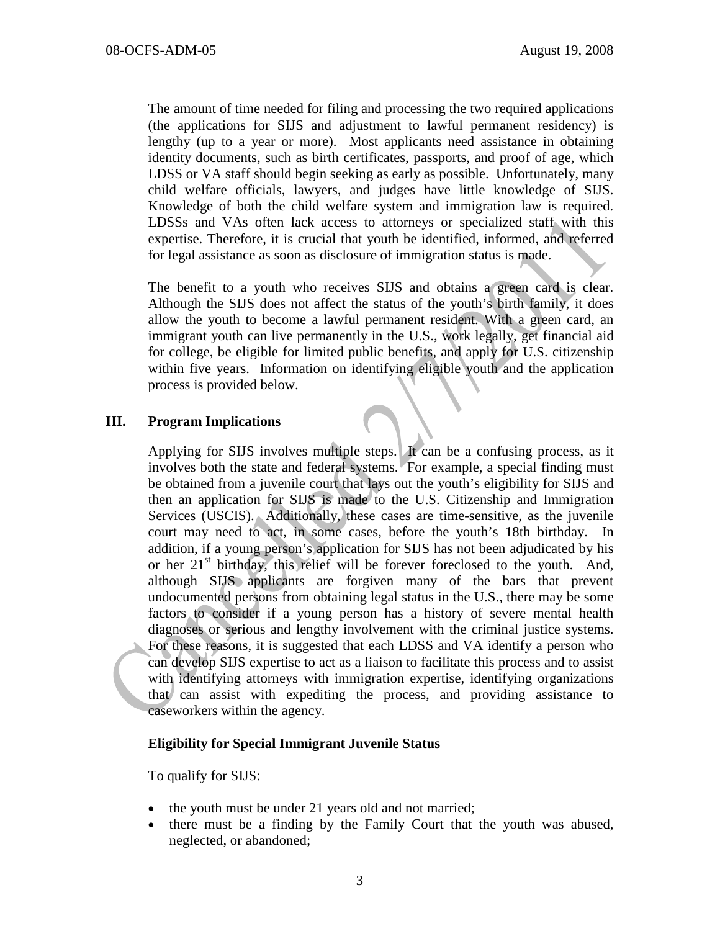The amount of time needed for filing and processing the two required applications (the applications for SIJS and adjustment to lawful permanent residency) is lengthy (up to a year or more). Most applicants need assistance in obtaining identity documents, such as birth certificates, passports, and proof of age, which LDSS or VA staff should begin seeking as early as possible. Unfortunately, many child welfare officials, lawyers, and judges have little knowledge of SIJS. Knowledge of both the child welfare system and immigration law is required. LDSSs and VAs often lack access to attorneys or specialized staff with this expertise. Therefore, it is crucial that youth be identified, informed, and referred for legal assistance as soon as disclosure of immigration status is made.

The benefit to a youth who receives SIJS and obtains a green card is clear. Although the SIJS does not affect the status of the youth's birth family, it does allow the youth to become a lawful permanent resident. With a green card, an immigrant youth can live permanently in the U.S., work legally, get financial aid for college, be eligible for limited public benefits, and apply for U.S. citizenship within five years. Information on identifying eligible youth and the application process is provided below.

#### **III. Program Implications**

Applying for SIJS involves multiple steps. It can be a confusing process, as it involves both the state and federal systems. For example, a special finding must be obtained from a juvenile court that lays out the youth's eligibility for SIJS and then an application for SIJS is made to the U.S. Citizenship and Immigration Services (USCIS). Additionally, these cases are time-sensitive, as the juvenile court may need to act, in some cases, before the youth's 18th birthday. In addition, if a young person's application for SIJS has not been adjudicated by his or her  $21<sup>st</sup>$  birthday, this relief will be forever foreclosed to the youth. And, although SIJS applicants are forgiven many of the bars that prevent undocumented persons from obtaining legal status in the U.S., there may be some factors to consider if a young person has a history of severe mental health diagnoses or serious and lengthy involvement with the criminal justice systems. For these reasons, it is suggested that each LDSS and VA identify a person who can develop SIJS expertise to act as a liaison to facilitate this process and to assist with identifying attorneys with immigration expertise, identifying organizations that can assist with expediting the process, and providing assistance to caseworkers within the agency.

#### **Eligibility for Special Immigrant Juvenile Status**

To qualify for SIJS:

- the youth must be under 21 years old and not married;
- there must be a finding by the Family Court that the youth was abused, neglected, or abandoned;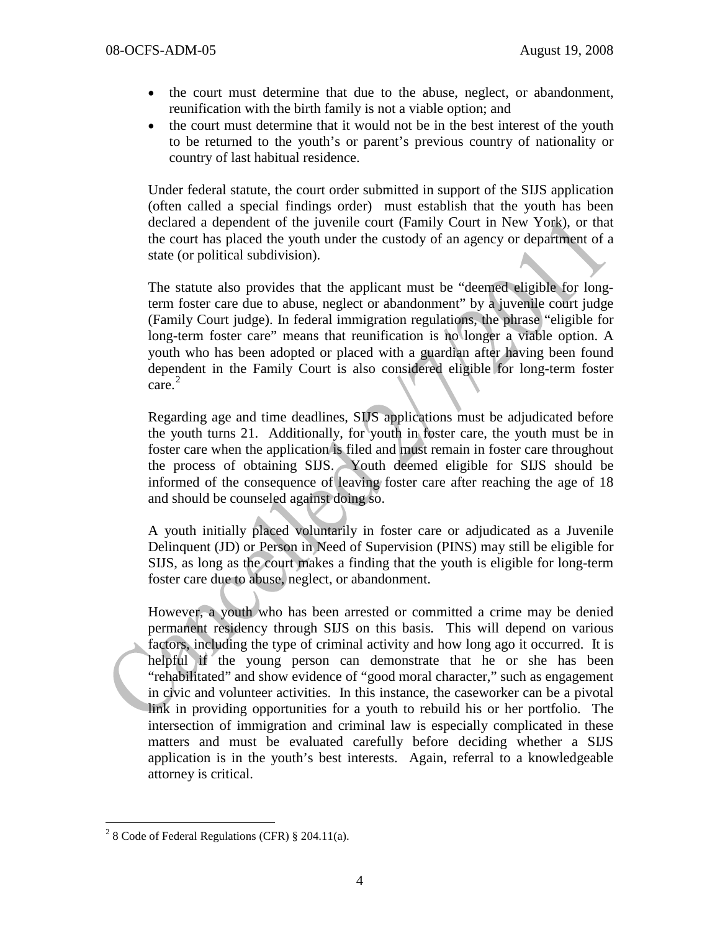- the court must determine that due to the abuse, neglect, or abandonment, reunification with the birth family is not a viable option; and
- the court must determine that it would not be in the best interest of the youth to be returned to the youth's or parent's previous country of nationality or country of last habitual residence.

Under federal statute, the court order submitted in support of the SIJS application (often called a special findings order) must establish that the youth has been declared a dependent of the juvenile court (Family Court in New York), or that the court has placed the youth under the custody of an agency or department of a state (or political subdivision).

The statute also provides that the applicant must be "deemed eligible for longterm foster care due to abuse, neglect or abandonment" by a juvenile court judge (Family Court judge). In federal immigration regulations, the phrase "eligible for long-term foster care" means that reunification is no longer a viable option. A youth who has been adopted or placed with a guardian after having been found dependent in the Family Court is also considered eligible for long-term foster care. [2](#page-3-0)

Regarding age and time deadlines, SIJS applications must be adjudicated before the youth turns 21. Additionally, for youth in foster care, the youth must be in foster care when the application is filed and must remain in foster care throughout the process of obtaining SIJS. Youth deemed eligible for SIJS should be informed of the consequence of leaving foster care after reaching the age of 18 and should be counseled against doing so.

A youth initially placed voluntarily in foster care or adjudicated as a Juvenile Delinquent (JD) or Person in Need of Supervision (PINS) may still be eligible for SIJS, as long as the court makes a finding that the youth is eligible for long-term foster care due to abuse, neglect, or abandonment.

However, a youth who has been arrested or committed a crime may be denied permanent residency through SIJS on this basis. This will depend on various factors, including the type of criminal activity and how long ago it occurred. It is helpful if the young person can demonstrate that he or she has been "rehabilitated" and show evidence of "good moral character," such as engagement in civic and volunteer activities. In this instance, the caseworker can be a pivotal link in providing opportunities for a youth to rebuild his or her portfolio. The intersection of immigration and criminal law is especially complicated in these matters and must be evaluated carefully before deciding whether a SIJS application is in the youth's best interests. Again, referral to a knowledgeable attorney is critical.

<span id="page-3-0"></span> $2^{2}$  8 Code of Federal Regulations (CFR) § 204.11(a).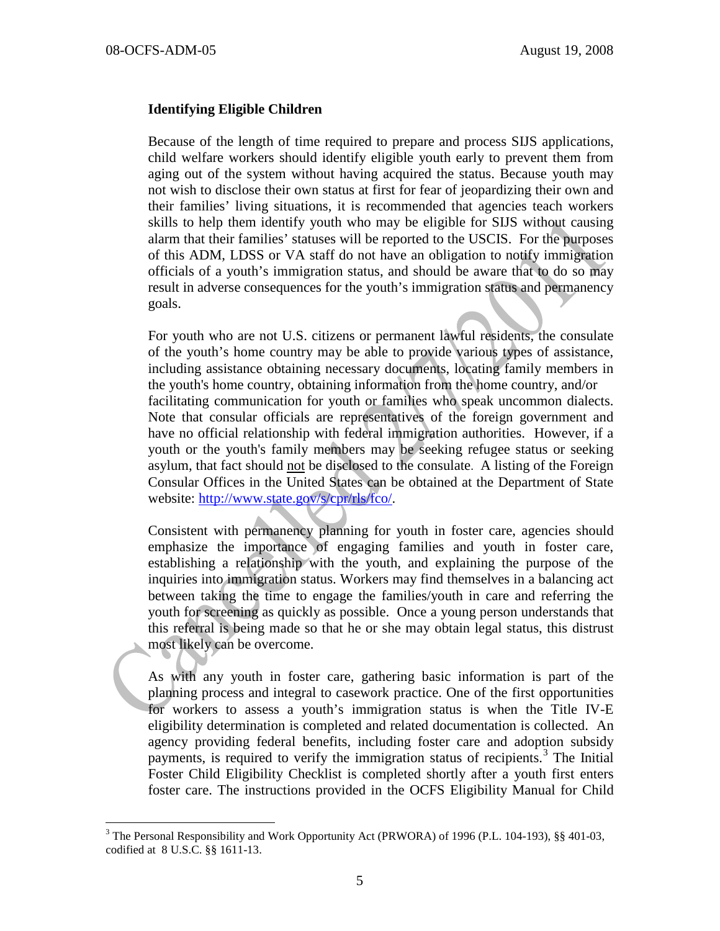#### **Identifying Eligible Children**

Because of the length of time required to prepare and process SIJS applications, child welfare workers should identify eligible youth early to prevent them from aging out of the system without having acquired the status. Because youth may not wish to disclose their own status at first for fear of jeopardizing their own and their families' living situations, it is recommended that agencies teach workers skills to help them identify youth who may be eligible for SIJS without causing alarm that their families' statuses will be reported to the USCIS. For the purposes of this ADM, LDSS or VA staff do not have an obligation to notify immigration officials of a youth's immigration status, and should be aware that to do so may result in adverse consequences for the youth's immigration status and permanency goals.

For youth who are not U.S. citizens or permanent lawful residents, the consulate of the youth's home country may be able to provide various types of assistance, including assistance obtaining necessary documents, locating family members in the youth's home country, obtaining information from the home country, and/or facilitating communication for youth or families who speak uncommon dialects. Note that consular officials are representatives of the foreign government and have no official relationship with federal immigration authorities. However, if a youth or the youth's family members may be seeking refugee status or seeking asylum, that fact should not be disclosed to the consulate. A listing of the Foreign Consular Offices in the United States can be obtained at the Department of State website: [http://www.state.gov/s/cpr/rls/fco/.](http://www.state.gov/s/cpr/rls/fco/)

Consistent with permanency planning for youth in foster care, agencies should emphasize the importance of engaging families and youth in foster care, establishing a relationship with the youth, and explaining the purpose of the inquiries into immigration status. Workers may find themselves in a balancing act between taking the time to engage the families/youth in care and referring the youth for screening as quickly as possible. Once a young person understands that this referral is being made so that he or she may obtain legal status, this distrust most likely can be overcome.

As with any youth in foster care, gathering basic information is part of the planning process and integral to casework practice. One of the first opportunities for workers to assess a youth's immigration status is when the Title IV-E eligibility determination is completed and related documentation is collected. An agency providing federal benefits, including foster care and adoption subsidy payments, is required to verify the immigration status of recipients.<sup>[3](#page-4-0)</sup> The Initial Foster Child Eligibility Checklist is completed shortly after a youth first enters foster care. The instructions provided in the OCFS Eligibility Manual for Child

<span id="page-4-0"></span><sup>&</sup>lt;sup>3</sup> The Personal Responsibility and Work Opportunity Act (PRWORA) of 1996 (P.L. 104-193), §§ 401-03, codified at 8 U.S.C. §§ 1611-13.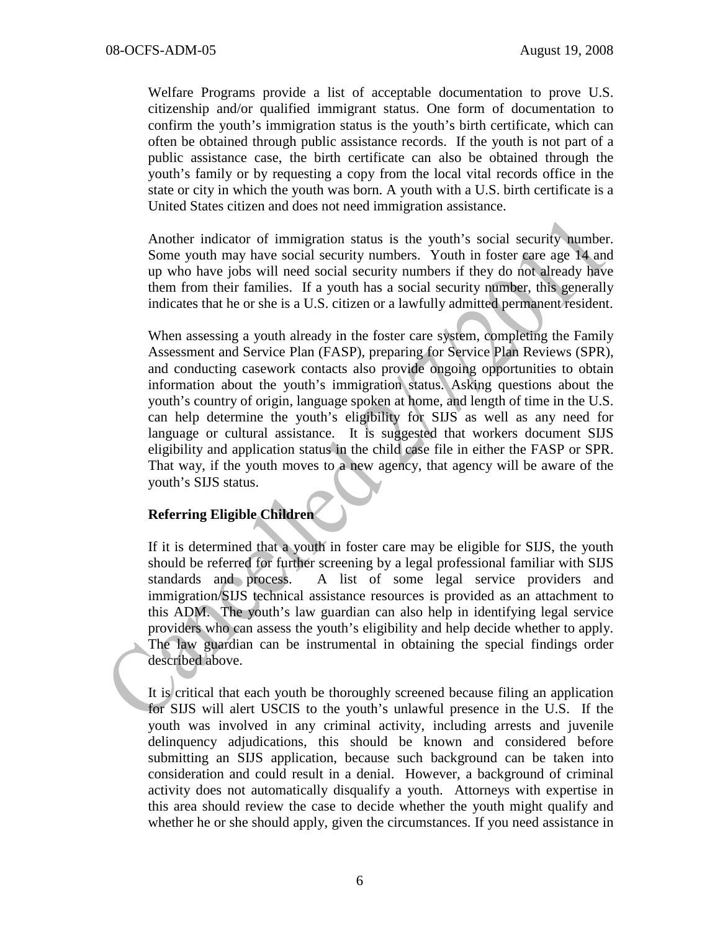Welfare Programs provide a list of acceptable documentation to prove U.S. citizenship and/or qualified immigrant status. One form of documentation to confirm the youth's immigration status is the youth's birth certificate, which can often be obtained through public assistance records. If the youth is not part of a public assistance case, the birth certificate can also be obtained through the youth's family or by requesting a copy from the local vital records office in the state or city in which the youth was born. A youth with a U.S. birth certificate is a United States citizen and does not need immigration assistance.

Another indicator of immigration status is the youth's social security number. Some youth may have social security numbers. Youth in foster care age 14 and up who have jobs will need social security numbers if they do not already have them from their families. If a youth has a social security number, this generally indicates that he or she is a U.S. citizen or a lawfully admitted permanent resident.

When assessing a youth already in the foster care system, completing the Family Assessment and Service Plan (FASP), preparing for Service Plan Reviews (SPR), and conducting casework contacts also provide ongoing opportunities to obtain information about the youth's immigration status. Asking questions about the youth's country of origin, language spoken at home, and length of time in the U.S. can help determine the youth's eligibility for SIJS as well as any need for language or cultural assistance. It is suggested that workers document SIJS eligibility and application status in the child case file in either the FASP or SPR. That way, if the youth moves to a new agency, that agency will be aware of the youth's SIJS status.

# **Referring Eligible Children**

If it is determined that a youth in foster care may be eligible for SIJS, the youth should be referred for further screening by a legal professional familiar with SIJS standards and process. A list of some legal service providers and immigration/SIJS technical assistance resources is provided as an attachment to this ADM. The youth's law guardian can also help in identifying legal service providers who can assess the youth's eligibility and help decide whether to apply. The law guardian can be instrumental in obtaining the special findings order described above.

It is critical that each youth be thoroughly screened because filing an application for SIJS will alert USCIS to the youth's unlawful presence in the U.S. If the youth was involved in any criminal activity, including arrests and juvenile delinquency adjudications, this should be known and considered before submitting an SIJS application, because such background can be taken into consideration and could result in a denial. However, a background of criminal activity does not automatically disqualify a youth. Attorneys with expertise in this area should review the case to decide whether the youth might qualify and whether he or she should apply, given the circumstances. If you need assistance in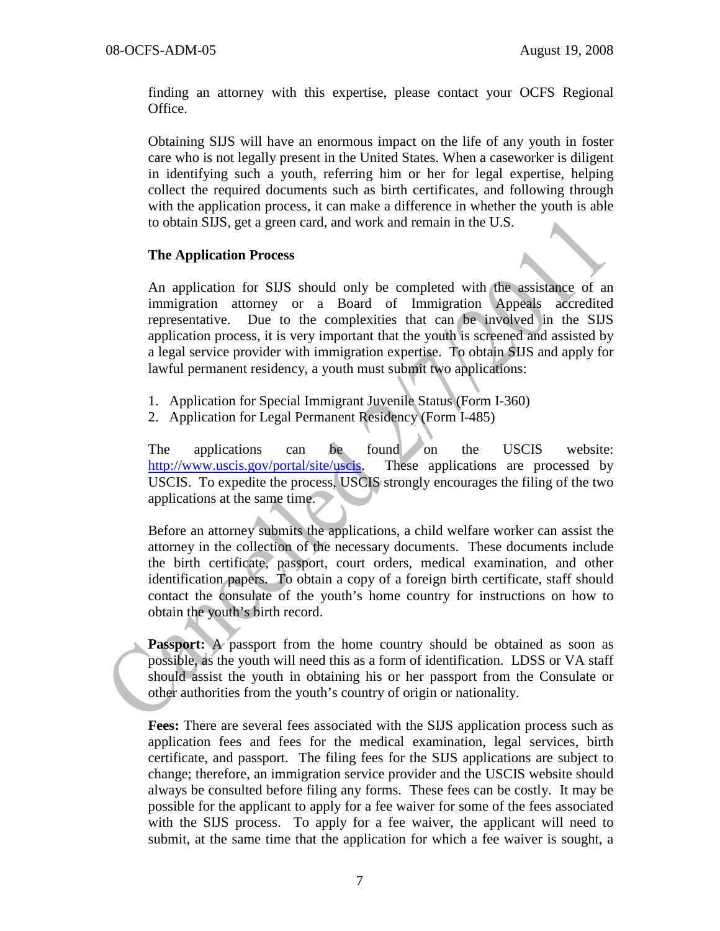finding an attorney with this expertise, please contact your OCFS Regional Office.

Obtaining SIJS will have an enormous impact on the life of any youth in foster care who is not legally present in the United States. When a caseworker is diligent in identifying such a youth, referring him or her for legal expertise, helping collect the required documents such as birth certificates, and following through with the application process, it can make a difference in whether the youth is able to obtain SIJS, get a green card, and work and remain in the U.S.

#### **The Application Process**

An application for SIJS should only be completed with the assistance of an immigration attorney or a Board of Immigration Appeals accredited representative. Due to the complexities that can be involved in the SIJS application process, it is very important that the youth is screened and assisted by a legal service provider with immigration expertise. To obtain SIJS and apply for lawful permanent residency, a youth must submit two applications:

- 1. Application for Special Immigrant Juvenile Status (Form I-360)
- 2. Application for Legal Permanent Residency (Form I-485)

The applications can be found on the USCIS website: [http://www.uscis.gov/portal/site/uscis.](http://www.uscis.gov/portal/site/uscis) These applications are processed by USCIS. To expedite the process, USCIS strongly encourages the filing of the two applications at the same time.

Before an attorney submits the applications, a child welfare worker can assist the attorney in the collection of the necessary documents. These documents include the birth certificate, passport, court orders, medical examination, and other identification papers. To obtain a copy of a foreign birth certificate, staff should contact the consulate of the youth's home country for instructions on how to obtain the youth's birth record.

**Passport:** A passport from the home country should be obtained as soon as possible, as the youth will need this as a form of identification. LDSS or VA staff should assist the youth in obtaining his or her passport from the Consulate or other authorities from the youth's country of origin or nationality.

**Fees:** There are several fees associated with the SIJS application process such as application fees and fees for the medical examination, legal services, birth certificate, and passport. The filing fees for the SIJS applications are subject to change; therefore, an immigration service provider and the USCIS website should always be consulted before filing any forms. These fees can be costly. It may be possible for the applicant to apply for a fee waiver for some of the fees associated with the SIJS process. To apply for a fee waiver, the applicant will need to submit, at the same time that the application for which a fee waiver is sought, a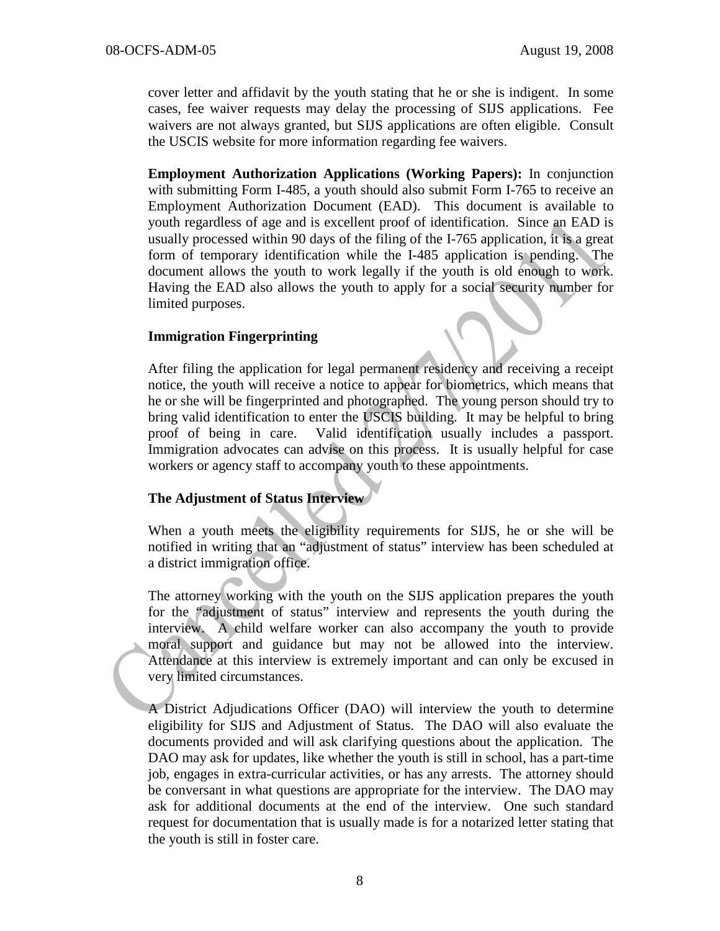cover letter and affidavit by the youth stating that he or she is indigent. In some cases, fee waiver requests may delay the processing of SIJS applications. Fee waivers are not always granted, but SIJS applications are often eligible. Consult the USCIS website for more information regarding fee waivers.

**Employment Authorization Applications (Working Papers):** In conjunction with submitting Form I-485, a youth should also submit Form I-765 to receive an Employment Authorization Document (EAD). This document is available to youth regardless of age and is excellent proof of identification. Since an EAD is usually processed within 90 days of the filing of the I-765 application, it is a great form of temporary identification while the I-485 application is pending. The document allows the youth to work legally if the youth is old enough to work. Having the EAD also allows the youth to apply for a social security number for limited purposes.

#### **Immigration Fingerprinting**

After filing the application for legal permanent residency and receiving a receipt notice, the youth will receive a notice to appear for biometrics, which means that he or she will be fingerprinted and photographed. The young person should try to bring valid identification to enter the USCIS building. It may be helpful to bring proof of being in care. Valid identification usually includes a passport. Immigration advocates can advise on this process. It is usually helpful for case workers or agency staff to accompany youth to these appointments.

#### **The Adjustment of Status Interview**

When a youth meets the eligibility requirements for SIJS, he or she will be notified in writing that an "adjustment of status" interview has been scheduled at a district immigration office.

The attorney working with the youth on the SIJS application prepares the youth for the "adjustment of status" interview and represents the youth during the interview. A child welfare worker can also accompany the youth to provide moral support and guidance but may not be allowed into the interview. Attendance at this interview is extremely important and can only be excused in very limited circumstances.

A District Adjudications Officer (DAO) will interview the youth to determine eligibility for SIJS and Adjustment of Status. The DAO will also evaluate the documents provided and will ask clarifying questions about the application. The DAO may ask for updates, like whether the youth is still in school, has a part-time job, engages in extra-curricular activities, or has any arrests. The attorney should be conversant in what questions are appropriate for the interview. The DAO may ask for additional documents at the end of the interview. One such standard request for documentation that is usually made is for a notarized letter stating that the youth is still in foster care.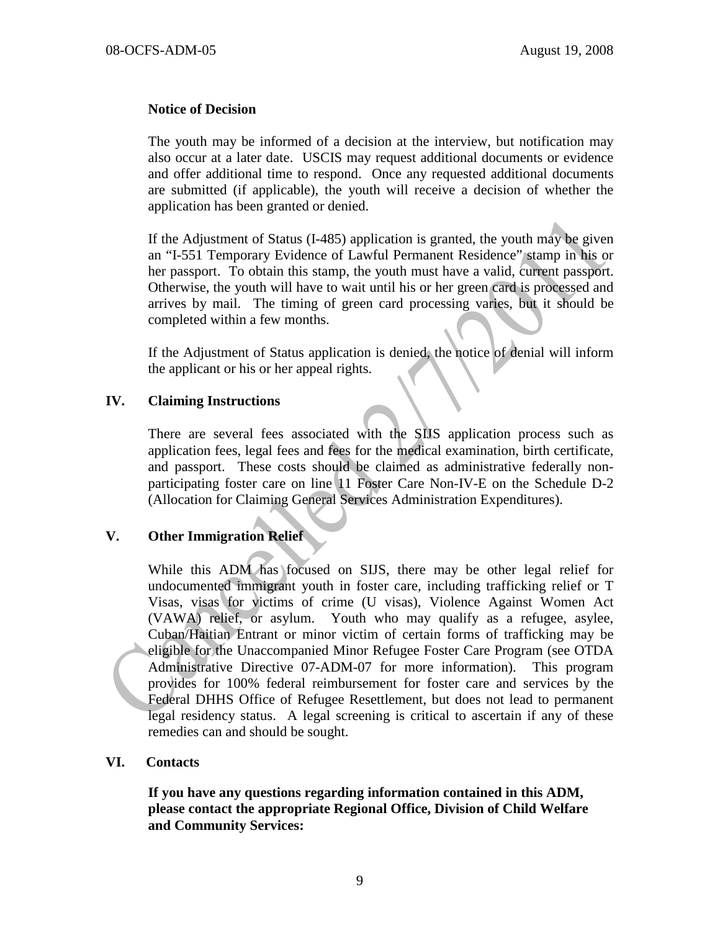#### **Notice of Decision**

The youth may be informed of a decision at the interview, but notification may also occur at a later date. USCIS may request additional documents or evidence and offer additional time to respond. Once any requested additional documents are submitted (if applicable), the youth will receive a decision of whether the application has been granted or denied.

If the Adjustment of Status (I-485) application is granted, the youth may be given an "I-551 Temporary Evidence of Lawful Permanent Residence" stamp in his or her passport. To obtain this stamp, the youth must have a valid, current passport. Otherwise, the youth will have to wait until his or her green card is processed and arrives by mail. The timing of green card processing varies, but it should be completed within a few months.

If the Adjustment of Status application is denied, the notice of denial will inform the applicant or his or her appeal rights.

#### **IV. Claiming Instructions**

There are several fees associated with the SIJS application process such as application fees, legal fees and fees for the medical examination, birth certificate, and passport. These costs should be claimed as administrative federally nonparticipating foster care on line 11 Foster Care Non-IV-E on the Schedule D-2 (Allocation for Claiming General Services Administration Expenditures).

#### **V. Other Immigration Relief**

While this ADM has focused on SIJS, there may be other legal relief for undocumented immigrant youth in foster care, including trafficking relief or T Visas, visas for victims of crime (U visas), Violence Against Women Act (VAWA) relief, or asylum. Youth who may qualify as a refugee, asylee, Cuban/Haitian Entrant or minor victim of certain forms of trafficking may be eligible for the Unaccompanied Minor Refugee Foster Care Program (see OTDA Administrative Directive 07-ADM-07 for more information). This program provides for 100% federal reimbursement for foster care and services by the Federal DHHS Office of Refugee Resettlement, but does not lead to permanent legal residency status. A legal screening is critical to ascertain if any of these remedies can and should be sought.

#### **VI. Contacts**

**If you have any questions regarding information contained in this ADM, please contact the appropriate Regional Office, Division of Child Welfare and Community Services:**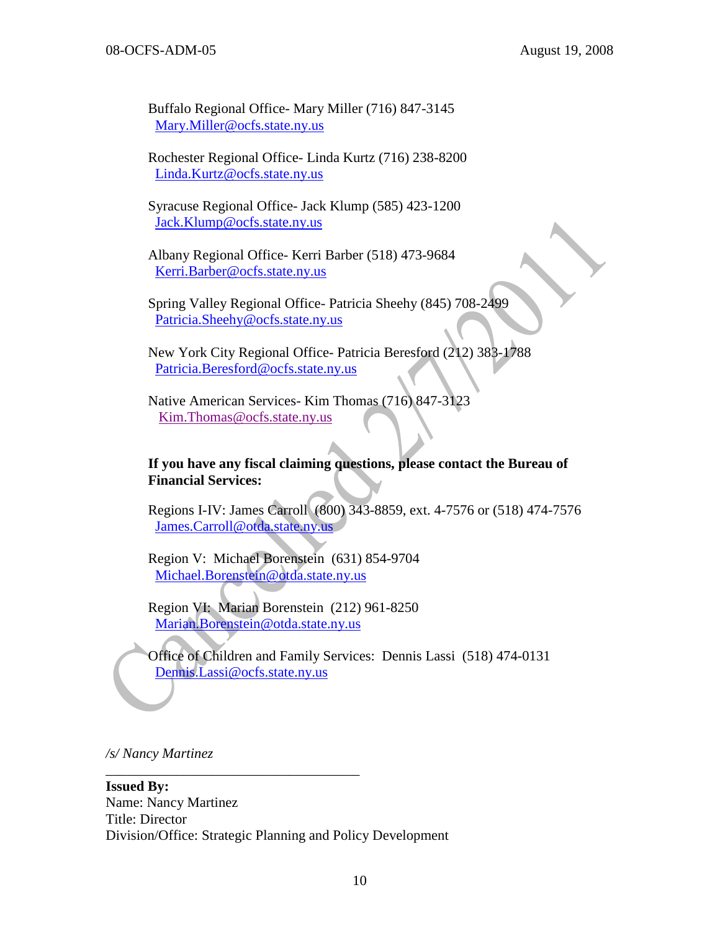$\mathbf{C}$ 

Buffalo Regional Office- Mary Miller (716) 847-3145 [Mary.Miller@ocfs.state.ny.us](mailto:Mary.Miller@ocfs.state.ny.us)

Rochester Regional Office- Linda Kurtz (716) 238-8200 [Linda.Kurtz@ocfs.state.ny.us](mailto:Linda.Kurtz@ocfs.state.ny.us)

Syracuse Regional Office- Jack Klump (585) 423-1200 [Jack.Klump@ocfs.state.ny.us](mailto:Jack.Klump@ocfs.state.ny.us)

Albany Regional Office- Kerri Barber (518) 473-9684 [Kerri.Barber@ocfs.state.ny.us](mailto:Glenn.Humphreys@ocfs.state.ny.us)

Spring Valley Regional Office- Patricia Sheehy (845) 708-2499 [Patricia.Sheehy@ocfs.state.ny.us](mailto:Patricia.Sheehy@ocfs.state.ny.us)

New York City Regional Office- Patricia Beresford (212) 383-1788 [Patricia.Beresford@ocfs.state.ny.us](mailto:Patricia.Beresford@ocfs.state.ny.us)

Native American Services- Kim Thomas (716) 847-3123 [Kim.Thomas@ocfs.state.ny.us](mailto:Kim.Thomas@ocfs.state.ny.us)

#### **If you have any fiscal claiming questions, please contact the Bureau of Financial Services:**

Regions I-IV: James Carroll (800) 343-8859, ext. 4-7576 or (518) 474-7576 [James.Carroll@otda.state.ny.us](mailto:James.Carroll@otda.state.ny.us)

Region V: Michael Borenstein (631) 854-9704 [Michael.Borenstein@otda.state.ny.us](mailto:Michael.Borenstein@otda.state.ny.us)

Region VI: Marian Borenstein (212) 961-8250 [Marian.Borenstein@otda.state.ny.us](mailto:Marian.Borenstein@otda.state.ny.us)

Office of Children and Family Services: Dennis Lassi (518) 474-0131 [Dennis.Lassi@ocfs.state.ny.us](mailto:Dennis.Lassi@ocfs.state.ny.us)

*/s/ Nancy Martinez*

**Issued By:** Name: Nancy Martinez Title: Director Division/Office: Strategic Planning and Policy Development

\_\_\_\_\_\_\_\_\_\_\_\_\_\_\_\_\_\_\_\_\_\_\_\_\_\_\_\_\_\_\_\_\_\_\_\_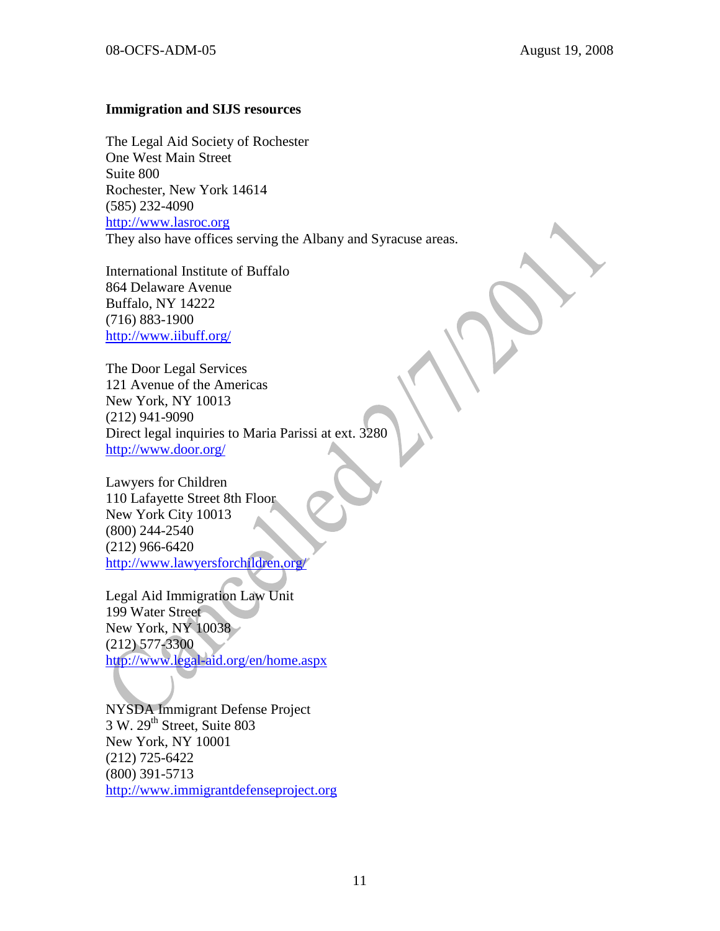#### **Immigration and SIJS resources**

The Legal Aid Society of Rochester One West Main Street Suite 800 Rochester, New York 14614 (585) 232-4090 [http://www.lasroc.org](http://www.lasroc.org/) They also have offices serving the Albany and Syracuse areas.

International Institute of Buffalo 864 Delaware Avenue Buffalo, NY 14222 (716) 883-1900 <http://www.iibuff.org/>

The Door Legal Services 121 Avenue of the Americas New York, NY 10013 (212) 941-9090 Direct legal inquiries to Maria Parissi at ext. 3280 <http://www.door.org/>

Lawyers for Children 110 Lafayette Street 8th Floor New York City 10013 (800) 244-2540 (212) 966-6420 <http://www.lawyersforchildren.org/>

Legal Aid Immigration Law Unit 199 Water Street New York, NY 10038 (212) 577-3300 <http://www.legal-aid.org/en/home.aspx>

NYSDA Immigrant Defense Project  $3 \text{ W}$ .  $29^{\text{th}}$  Street, Suite 803 New York, NY 10001 (212) 725-6422 (800) 391-5713 [http://www.immigrantdefenseproject.org](http://www.immigrantdefenseproject.org/)